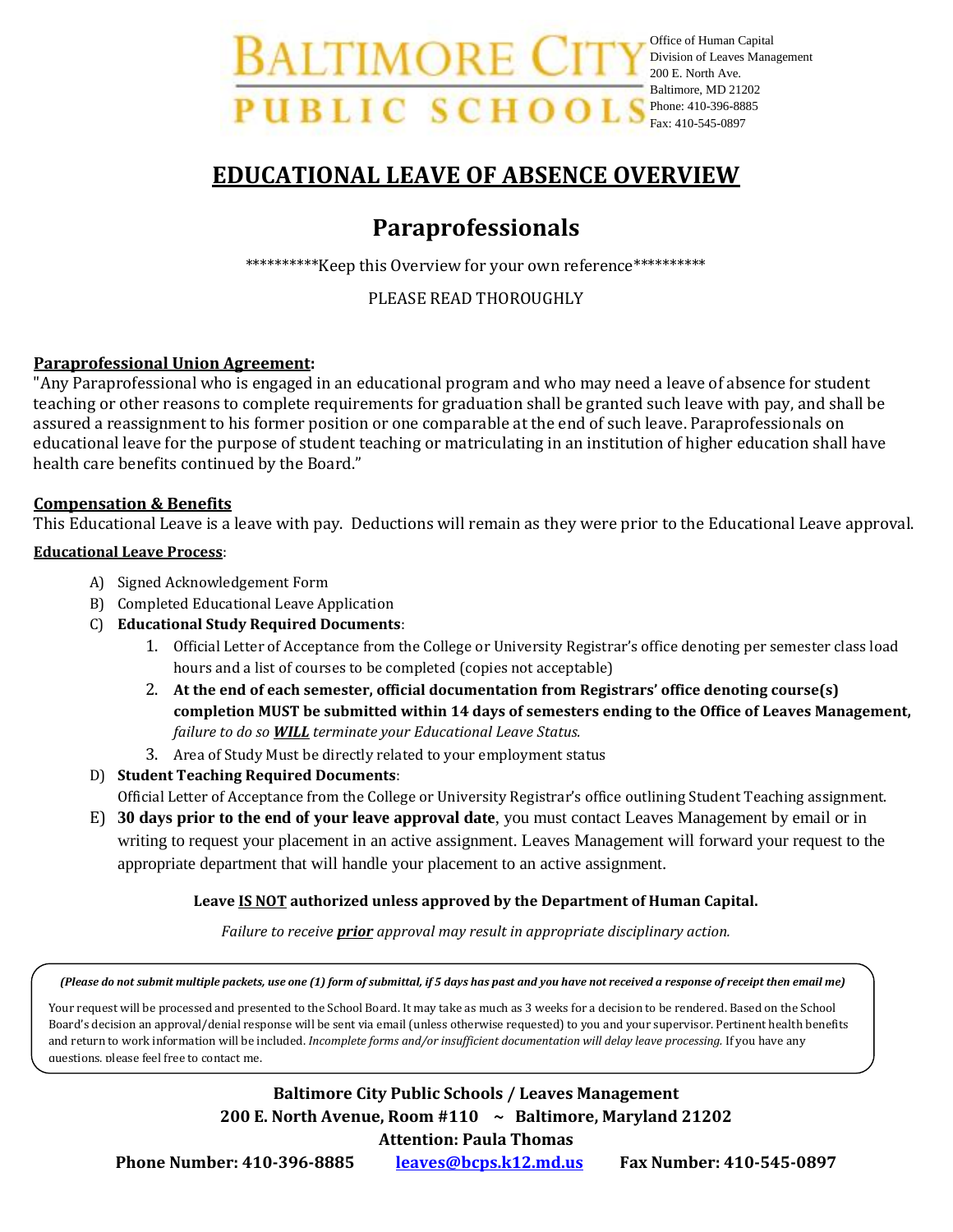Office of Human Capital Division of Leaves Management 200 E. North Ave. Baltimore, MD 21202 Phone: 410-396-8885 Fax: 410-545-0897

# **EDUCATIONAL LEAVE OF ABSENCE OVERVIEW**

# **Paraprofessionals**

\*\*\*\*\*\*\*\*\*\*Keep this Overview for your own reference\*\*\*\*\*\*\*\*\*\*

## PLEASE READ THOROUGHLY

## **Paraprofessional Union Agreement:**

"Any Paraprofessional who is engaged in an educational program and who may need a leave of absence for student teaching or other reasons to complete requirements for graduation shall be granted such leave with pay, and shall be assured a reassignment to his former position or one comparable at the end of such leave. Paraprofessionals on educational leave for the purpose of student teaching or matriculating in an institution of higher education shall have health care benefits continued by the Board."

## **Compensation & Benefits**

This Educational Leave is a leave with pay. Deductions will remain as they were prior to the Educational Leave approval.

## **Educational Leave Process**:

- A) Signed Acknowledgement Form
- B) Completed Educational Leave Application
- C) **Educational Study Required Documents**:
	- 1. Official Letter of Acceptance from the College or University Registrar's office denoting per semester class load hours and a list of courses to be completed (copies not acceptable)
	- 2. **At the end of each semester, official documentation from Registrars' office denoting course(s) completion MUST be submitted within 14 days of semesters ending to the Office of Leaves Management,**  *failure to do so WILL terminate your Educational Leave Status.*
	- 3. Area of Study Must be directly related to your employment status
- D) **Student Teaching Required Documents**:

Official Letter of Acceptance from the College or University Registrar's office outlining Student Teaching assignment.

E) **30 days prior to the end of your leave approval date**, you must contact Leaves Management by email or in writing to request your placement in an active assignment. Leaves Management will forward your request to the appropriate department that will handle your placement to an active assignment.

## **Leave IS NOT authorized unless approved by the Department of Human Capital.**

*Failure to receive prior approval may result in appropriate disciplinary action.*

*(Please do not submit multiple packets, use one (1) form of submittal, if 5 days has past and you have not received a response of receipt then email me)*

and return to work information will be included. *Incomplete forms and/or insufficient documentation will delay leave processing.* If you have any Your request will be processed and presented to the School Board. It may take as much as 3 weeks for a decision to be rendered. Based on the School Board's decision an approval/denial response will be sent via email (unless otherwise requested) to you and your supervisor. Pertinent health benefits questions, please feel free to contact me.

# **Baltimore City Public Schools / Leaves Management 200 E. North Avenue, Room #110 ~ Baltimore, Maryland 21202 Attention: Paula Thomas**

**Phone Number: 410-396-8885 [leaves@bcps.k12.md.us](mailto:leaves@bcps.k12.md.us) Fax Number: 410-545-0897**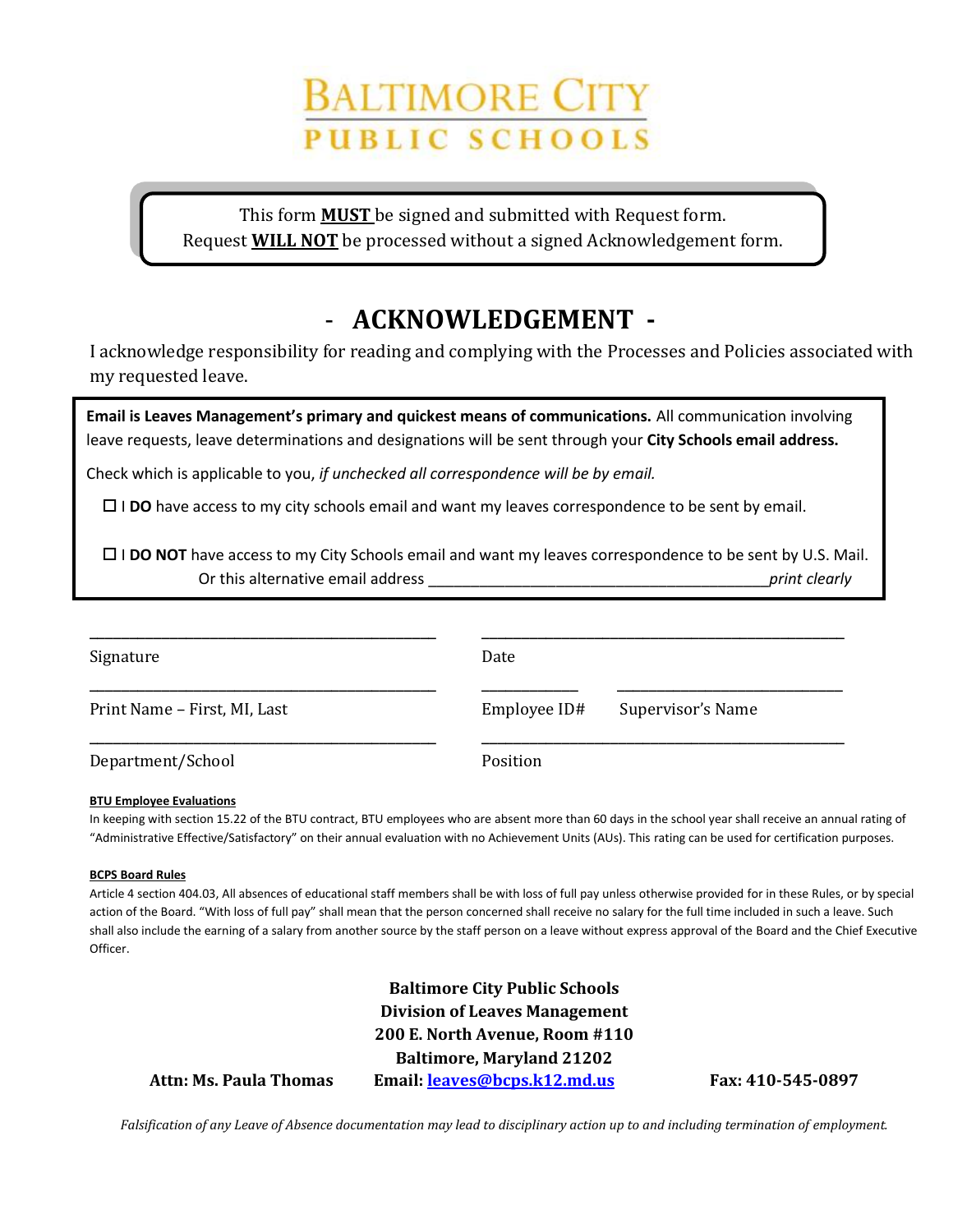# BALTIMORE CIT **PUBLIC SCHOOLS**

This form **MUST** be signed and submitted with Request form. Request **WILL NOT** be processed without a signed Acknowledgement form.

# - **ACKNOWLEDGEMENT -**

I acknowledge responsibility for reading and complying with the Processes and Policies associated with my requested leave.

**Email is Leaves Management's primary and quickest means of communications.** All communication involving leave requests, leave determinations and designations will be sent through your **City Schools email address.**

Check which is applicable to you, *if unchecked all correspondence will be by email.*

I **DO** have access to my city schools email and want my leaves correspondence to be sent by email.

 I **DO NOT** have access to my City Schools email and want my leaves correspondence to be sent by U.S. Mail. Or this alternative email address \_\_\_\_\_\_\_\_\_\_\_\_\_\_\_\_\_\_\_\_\_\_\_\_\_\_\_\_\_\_\_\_\_\_\_\_\_\_\_\_*print clearly*

| Signature                    | Date         |                   |  |
|------------------------------|--------------|-------------------|--|
| Print Name – First, MI, Last | Employee ID# | Supervisor's Name |  |
| Department/School            | Position     |                   |  |

### **BTU Employee Evaluations**

In keeping with section 15.22 of the BTU contract, BTU employees who are absent more than 60 days in the school year shall receive an annual rating of "Administrative Effective/Satisfactory" on their annual evaluation with no Achievement Units (AUs). This rating can be used for certification purposes.

### **BCPS Board Rules**

Article 4 section 404.03, All absences of educational staff members shall be with loss of full pay unless otherwise provided for in these Rules, or by special action of the Board. "With loss of full pay" shall mean that the person concerned shall receive no salary for the full time included in such a leave. Such shall also include the earning of a salary from another source by the staff person on a leave without express approval of the Board and the Chief Executive Officer.

**Baltimore City Public Schools Division of Leaves Management 200 E. North Avenue, Room #110 Baltimore, Maryland 21202 Attn: Ms. Paula Thomas Email[: leaves@bcps.k12.md.us](mailto:leaves@bcps.k12.md.us) Fax: 410-545-0897**

*Falsification of any Leave of Absence documentation may lead to disciplinary action up to and including termination of employment.*